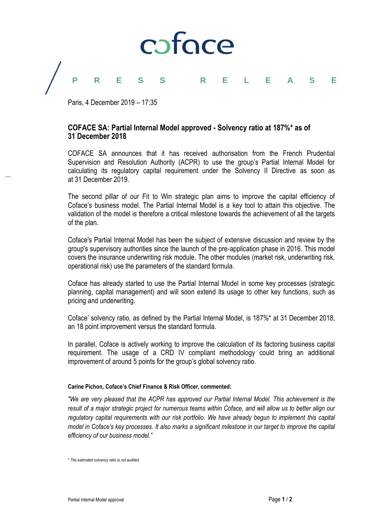

## **PRESS RELEASE**

Paris, 4 December 2019 – 17:35

### **COFACE SA: Partial Internal Model approved - Solvency ratio at 187%\* as of 31 December 2018**

COFACE SA announces that it has received authorisation from the French Prudential Supervision and Resolution Authority (ACPR) to use the group's Partial Internal Model for calculating its regulatory capital requirement under the Solvency II Directive as soon as at 31 December 2019.

The second pillar of our Fit to Win strategic plan aims to improve the capital efficiency of Coface's business model. The Partial Internal Model is a key tool to attain this objective. The validation of the model is therefore a critical milestone towards the achievement of all the targets of the plan.

Coface's Partial Internal Model has been the subject of extensive discussion and review by the group's supervisory authorities since the launch of the pre-application phase in 2016. This model covers the insurance underwriting risk module. The other modules (market risk, underwriting risk, operational risk) use the parameters of the standard formula.

Coface has already started to use the Partial Internal Model in some key processes (strategic planning, capital management) and will soon extend its usage to other key functions, such as pricing and underwriting.

Coface' solvency ratio, as defined by the Partial Internal Model, is 187%\* at 31 December 2018, an 18 point improvement versus the standard formula.

In parallel, Coface is actively working to improve the calculation of its factoring business capital requirement. The usage of a CRD IV compliant methodology could bring an additional improvement of around 5 points for the group's global solvency ratio.

#### **Carine Pichon, Coface's Chief Finance & Risk Officer, commented:**

*"We are very pleased that the ACPR has approved our Partial Internal Model. This achievement is the*  result of a major strategic project for numerous teams within Coface, and will allow us to better align our *regulatory capital requirements with our risk portfolio. We have already begun to implement this capital model in Coface's key processes. It also marks a significant milestone in our target to improve the capital efficiency of our business model."*

*<sup>\*</sup> The estimated solvency ratio is not audited.*